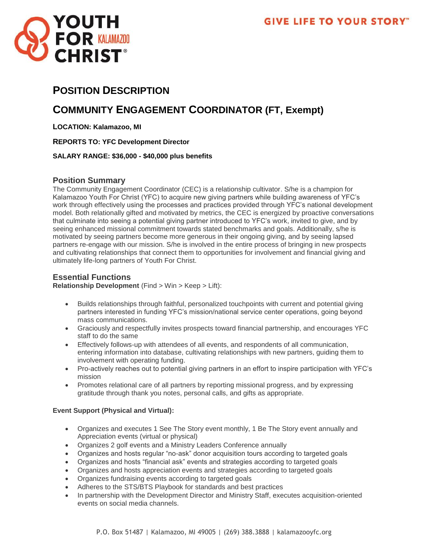

# **POSITION DESCRIPTION**

# **COMMUNITY ENGAGEMENT COORDINATOR (FT, Exempt)**

**LOCATION: Kalamazoo, MI**

**REPORTS TO: YFC Development Director**

**SALARY RANGE: \$36,000 - \$40,000 plus benefits**

### **Position Summary**

The Community Engagement Coordinator (CEC) is a relationship cultivator. S/he is a champion for Kalamazoo Youth For Christ (YFC) to acquire new giving partners while building awareness of YFC's work through effectively using the processes and practices provided through YFC's national development model. Both relationally gifted and motivated by metrics, the CEC is energized by proactive conversations that culminate into seeing a potential giving partner introduced to YFC's work, invited to give, and by seeing enhanced missional commitment towards stated benchmarks and goals. Additionally, s/he is motivated by seeing partners become more generous in their ongoing giving, and by seeing lapsed partners re-engage with our mission. S/he is involved in the entire process of bringing in new prospects and cultivating relationships that connect them to opportunities for involvement and financial giving and ultimately life-long partners of Youth For Christ.

## **Essential Functions**

**Relationship Development** (Find > Win > Keep > Lift):

- Builds relationships through faithful, personalized touchpoints with current and potential giving partners interested in funding YFC's mission/national service center operations, going beyond mass communications.
- Graciously and respectfully invites prospects toward financial partnership, and encourages YFC staff to do the same
- Effectively follows-up with attendees of all events, and respondents of all communication, entering information into database, cultivating relationships with new partners, guiding them to involvement with operating funding.
- Pro-actively reaches out to potential giving partners in an effort to inspire participation with YFC's mission
- Promotes relational care of all partners by reporting missional progress, and by expressing gratitude through thank you notes, personal calls, and gifts as appropriate.

### **Event Support (Physical and Virtual):**

- Organizes and executes 1 See The Story event monthly, 1 Be The Story event annually and Appreciation events (virtual or physical)
- Organizes 2 golf events and a Ministry Leaders Conference annually
- Organizes and hosts regular "no-ask" donor acquisition tours according to targeted goals
- Organizes and hosts "financial ask" events and strategies according to targeted goals
- Organizes and hosts appreciation events and strategies according to targeted goals
- Organizes fundraising events according to targeted goals
- Adheres to the STS/BTS Playbook for standards and best practices
- In partnership with the Development Director and Ministry Staff, executes acquisition-oriented events on social media channels.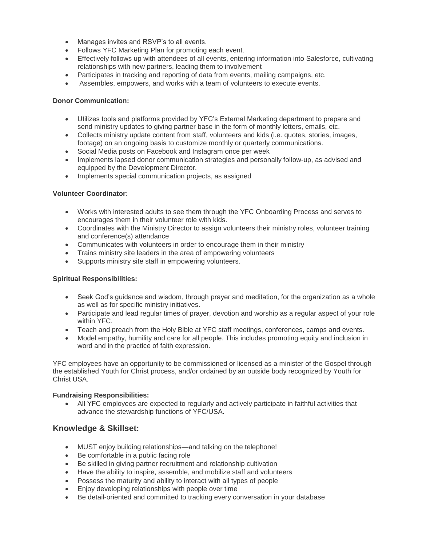- Manages invites and RSVP's to all events.
- Follows YFC Marketing Plan for promoting each event.
- Effectively follows up with attendees of all events, entering information into Salesforce, cultivating relationships with new partners, leading them to involvement
- Participates in tracking and reporting of data from events, mailing campaigns, etc.
- Assembles, empowers, and works with a team of volunteers to execute events.

#### **Donor Communication:**

- Utilizes tools and platforms provided by YFC's External Marketing department to prepare and send ministry updates to giving partner base in the form of monthly letters, emails, etc.
- Collects ministry update content from staff, volunteers and kids (i.e. quotes, stories, images, footage) on an ongoing basis to customize monthly or quarterly communications.
- Social Media posts on Facebook and Instagram once per week
- Implements lapsed donor communication strategies and personally follow-up, as advised and equipped by the Development Director.
- Implements special communication projects, as assigned

#### **Volunteer Coordinator:**

- Works with interested adults to see them through the YFC Onboarding Process and serves to encourages them in their volunteer role with kids.
- Coordinates with the Ministry Director to assign volunteers their ministry roles, volunteer training and conference(s) attendance
- Communicates with volunteers in order to encourage them in their ministry
- Trains ministry site leaders in the area of empowering volunteers
- Supports ministry site staff in empowering volunteers.

#### **Spiritual Responsibilities:**

- Seek God's quidance and wisdom, through prayer and meditation, for the organization as a whole as well as for specific ministry initiatives.
- Participate and lead regular times of prayer, devotion and worship as a regular aspect of your role within YFC.
- Teach and preach from the Holy Bible at YFC staff meetings, conferences, camps and events.
- Model empathy, humility and care for all people. This includes promoting equity and inclusion in word and in the practice of faith expression.

YFC employees have an opportunity to be commissioned or licensed as a minister of the Gospel through the established Youth for Christ process, and/or ordained by an outside body recognized by Youth for Christ USA.

#### **Fundraising Responsibilities:**

• All YFC employees are expected to regularly and actively participate in faithful activities that advance the stewardship functions of YFC/USA.

## **Knowledge & Skillset:**

- MUST enjoy building relationships—and talking on the telephone!
- Be comfortable in a public facing role
- Be skilled in giving partner recruitment and relationship cultivation
- Have the ability to inspire, assemble, and mobilize staff and volunteers
- Possess the maturity and ability to interact with all types of people
- Enjoy developing relationships with people over time
- Be detail-oriented and committed to tracking every conversation in your database